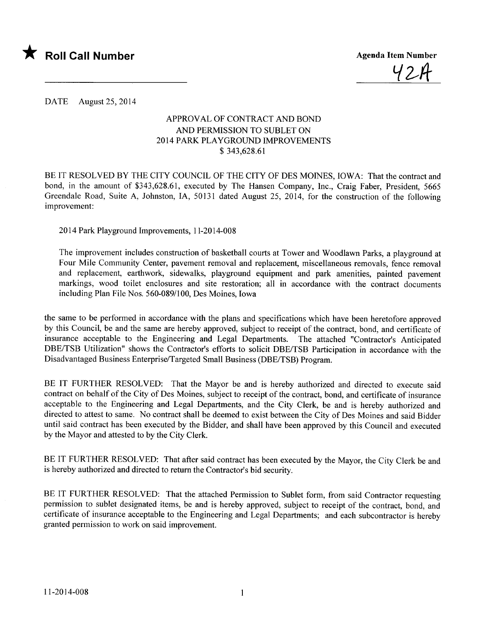

 $42I$ 

DATE August 25, 2014

## APPROVAL OF CONTRACT AND BOND AND PERMISSION TO SUBLET ON 20 14 PARK PLAYGROUND IMPROVEMENTS \$ 343,628.61

BE IT RESOLVED BY THE CITY COUNCIL OF THE CITY OF DES MOINES, IOWA: That the contract and bond, in the amount of \$343,628.61, executed by The Hansen Company, Inc., Craig Faber, President, 5665 Greendale Road, Suite A, Johnston, lA, 50131 dated August 25, 2014, for the construction of the following improvement:

2014 Park Playground Improvements, 11-2014-008

The improvement includes construction of basketball courts at Tower and Woodlawn Parks, a playground at Four Mile Community Center, pavement removal and replacement, miscellaneous removals, fence removal and replacement, earthwork, sidewalks, playground equipment and park amenities, painted pavement markings, wood toilet enclosures and site restoration; all in accordance with the contract documents including Plan File Nos. 560-089/100, Des Moines, Iowa

the same to be performed in accordance with the plans and specifications which have been heretofore approved by this Council, be and the same are hereby approved, subject to receipt of the contract, bond, and certificate of insurance acceptable to the Engineering and Legal Departments. The attached "Contractor's Anticipated DBE/TSB Utilization" shows the Contractor's efforts to solicit DBE/TSB Participation in accordance with the Disadvantaged Business Enterprise/Targeted Small Business (DBE/TSB) Program.

BE IT FURTHER RESOLVED: That the Mayor be and is hereby authorized and directed to execute said contract on behalf of the City of Des Moines, subject to receipt of the contract, bond, and certificate of insurance acceptable to the Engineering and Legal Departments, and the City Clerk, be and is hereby authorized and directed to attest to same. No contract shall be deemed to exist between the City of Des Moines and said Bidder until said contract has been executed by the Bidder, and shall have been approved by this Council and executed by the Mayor and attested to by the City Clerk.

BE IT FURTHER RESOLVED: That after said contract has been executed by the Mayor, the City Clerk be and is hereby authorized and directed to return the Contractor's bid security.

BE IT FURTHER RESOLVED: That the attached Permission to Sublet form, from said Contractor requesting permission to sublet designated items, be and is hereby approved, subject to receipt of the contract, bond, and certificate of insurance acceptable to the Engineering and Legal Departments; and each subcontractor is hereby granted permission to work on said improvement.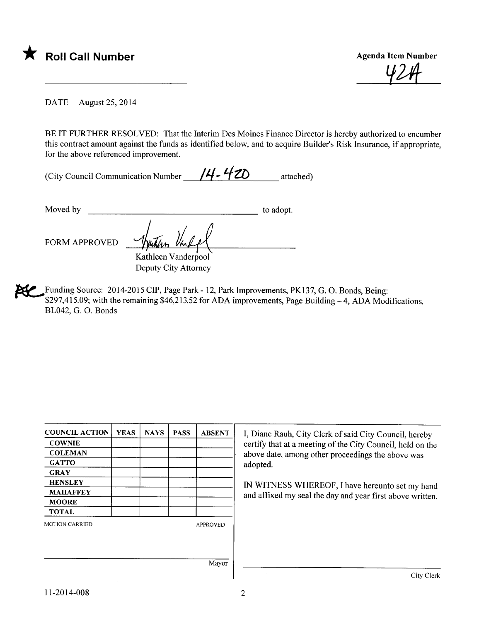

 $Y$ 

DATE August 25,2014

BE IT FURTHER RESOLVED: That the Interim Des Moines Finance Director is hereby authorized to encumber this contract amount against the funds as identified below, and to acquire Builder's Risk Insurance, if appropriate, for the above referenced improvement.

| (City Council Communication Number | $14 - 420$ | attached) |
|------------------------------------|------------|-----------|
|------------------------------------|------------|-----------|

Moved by to adopt. FORM APPROVED <u>Sputism VELA</u>

Kathleen Vanderpool Deputy City Attorney

~Funding Source: 2014-2015 CIP, Page Park - 12, Park Improvements, PK137, G. O. Bonds, Being: \$297,415.09; with the remaining  $$46,213.52$  for ADA improvements, Page Building  $-4$ , ADA Modifications, BL042, G. O. Bonds

| <b>YEAS</b> | <b>NAYS</b> | <b>PASS</b> | <b>ABSENT</b>   | I, Diane Rauh, City Clerk of said City Council, hereby     |  |  |
|-------------|-------------|-------------|-----------------|------------------------------------------------------------|--|--|
|             |             |             |                 | certify that at a meeting of the City Council, held on the |  |  |
|             |             |             |                 | above date, among other proceedings the above was          |  |  |
|             |             |             |                 | adopted.                                                   |  |  |
|             |             |             |                 |                                                            |  |  |
|             |             |             |                 | IN WITNESS WHEREOF, I have hereunto set my hand            |  |  |
|             |             |             |                 | and affixed my seal the day and year first above written.  |  |  |
|             |             |             |                 |                                                            |  |  |
|             |             |             |                 |                                                            |  |  |
|             |             |             | <b>APPROVED</b> |                                                            |  |  |
|             |             |             |                 |                                                            |  |  |
|             |             |             |                 |                                                            |  |  |
|             |             |             |                 |                                                            |  |  |
|             |             |             |                 | City Clerk                                                 |  |  |
|             |             |             |                 | Mayor                                                      |  |  |